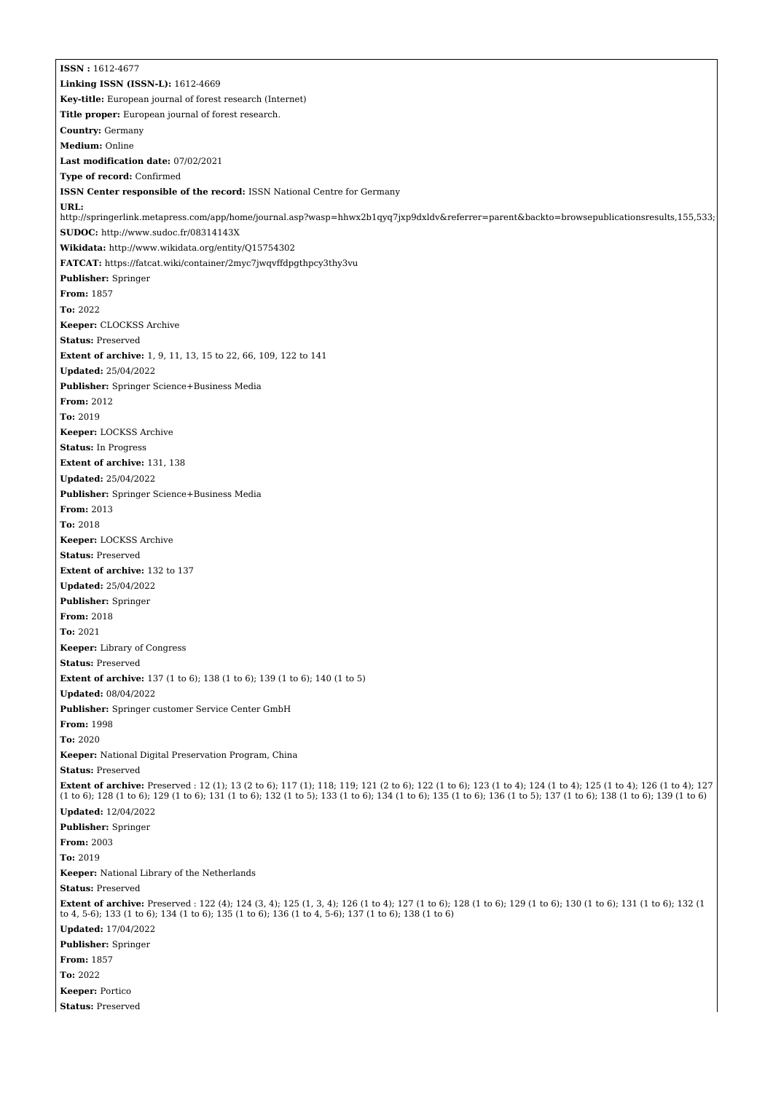**ISSN :** 1612-4677 **Linking ISSN (ISSN-L):** 1612-4669 **Key-title:** European journal of forest research (Internet) **Title proper:** European journal of forest research. **Country:** Germany **Medium:** Online **Last modification date:** 07/02/2021 **Type of record:** Confirmed **ISSN Center responsible of the record:** ISSN National Centre for Germany **URL:** <http://springerlink.metapress.com/app/home/journal.asp?wasp=hhwx2b1qyq7jxp9dxldv&referrer=parent&backto=browsepublicationsresults,155,533;> **SUDOC:** <http://www.sudoc.fr/08314143X> **Wikidata:** <http://www.wikidata.org/entity/Q15754302> **FATCAT:** <https://fatcat.wiki/container/2myc7jwqvffdpgthpcy3thy3vu> **Publisher:** Springer **From:** 1857 **To:** 2022 **Keeper:** CLOCKSS Archive **Status:** Preserved **Extent of archive:** 1, 9, 11, 13, 15 to 22, 66, 109, 122 to 141 **Updated:** 25/04/2022 **Publisher:** Springer Science+Business Media **From:** 2012 **To:** 2019 **Keeper:** LOCKSS Archive **Status:** In Progress **Extent of archive:** 131, 138 **Updated:** 25/04/2022 **Publisher:** Springer Science+Business Media **From:** 2013 **To:** 2018 **Keeper:** LOCKSS Archive **Status:** Preserved **Extent of archive:** 132 to 137 **Updated:** 25/04/2022 **Publisher:** Springer **From:** 2018 **To:** 2021 **Keeper:** Library of Congress **Status:** Preserved **Extent of archive:** 137 (1 to 6); 138 (1 to 6); 139 (1 to 6); 140 (1 to 5) **Updated:** 08/04/2022 **Publisher:** Springer customer Service Center GmbH **From:** 1998 **To:** 2020 **Keeper:** National Digital Preservation Program, China **Status:** Preserved **Extent of archive:** Preserved : 12 (1); 13 (2 to 6); 117 (1); 118; 119; 121 (2 to 6); 122 (1 to 6); 123 (1 to 4); 124 (1 to 4); 125 (1 to 4); 126 (1 to 4); 127 (1 to 6); 128 (1 to 6); 129 (1 to 6); 131 (1 to 6); 132 (1 to 5); 133 (1 to 6); 134 (1 to 6); 135 (1 to 6); 136 (1 to 5); 137 (1 to 6); 138 (1 to 6); 139 (1 to 6) **Updated:** 12/04/2022 **Publisher:** Springer **From:** 2003 **To:** 2019 **Keeper:** National Library of the Netherlands **Status:** Preserved **Extent of archive:** Preserved : 122 (4); 124 (3, 4); 125 (1, 3, 4); 126 (1 to 4); 127 (1 to 6); 128 (1 to 6); 129 (1 to 6); 130 (1 to 6); 131 (1 to 6); 132 (1 to 4, 5-6); 133 (1 to 6); 134 (1 to 6); 135 (1 to 6); 136 (1 to 4, 5-6); 137 (1 to 6); 138 (1 to 6) **Updated:** 17/04/2022 **Publisher:** Springer **From:** 1857 **To:** 2022 **Keeper:** Portico **Status:** Preserved